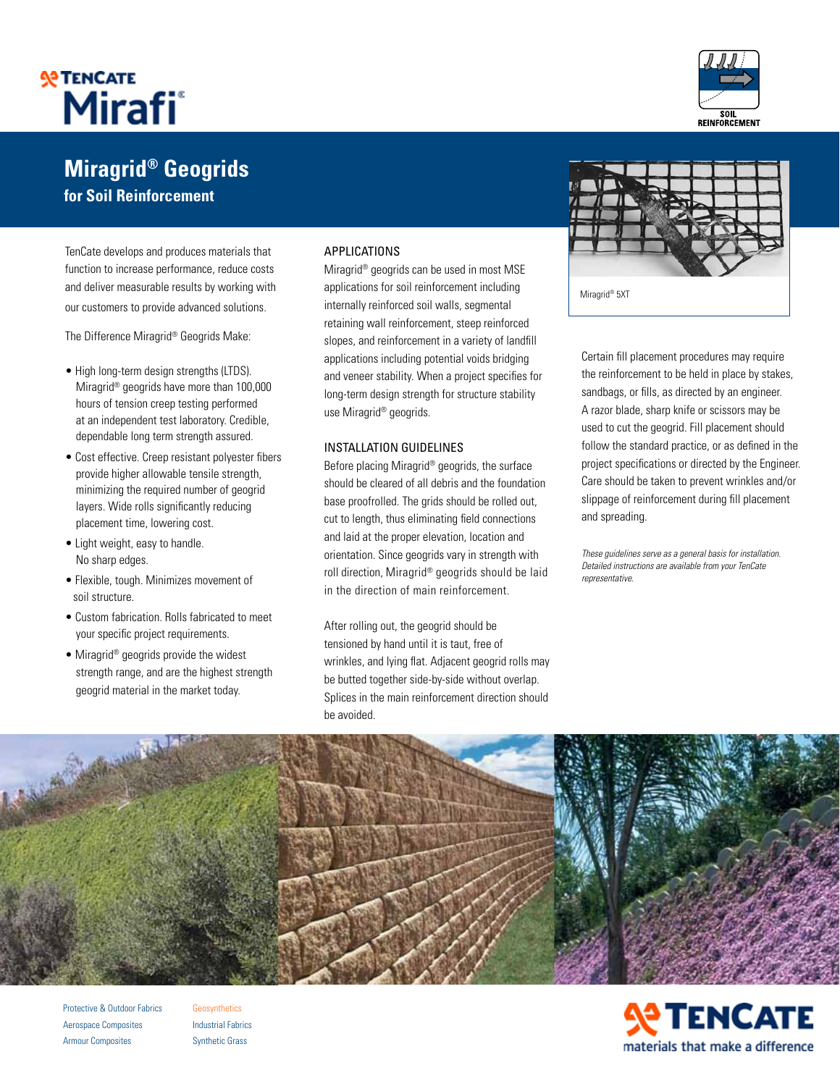

# **Miragrid® Geogrids for Soil Reinforcement**

TenCate develops and produces materials that function to increase performance, reduce costs and deliver measurable results by working with our customers to provide advanced solutions.

The Difference Miragrid® Geogrids Make:

- High long-term design strengths (LTDS). Miragrid® geogrids have more than 100,000 hours of tension creep testing performed at an independent test laboratory. Credible, dependable long term strength assured.
- Cost effective. Creep resistant polyester fibers provide higher allowable tensile strength, minimizing the required number of geogrid layers. Wide rolls significantly reducing placement time, lowering cost.
- Light weight, easy to handle. No sharp edges.
- Flexible, tough. Minimizes movement of soil structure.
- Custom fabrication. Rolls fabricated to meet your specific project requirements.
- Miragrid® geogrids provide the widest strength range, and are the highest strength geogrid material in the market today.

#### **APPLICATIONS**

Miragrid® geogrids can be used in most MSE applications for soil reinforcement including internally reinforced soil walls, segmental retaining wall reinforcement, steep reinforced slopes, and reinforcement in a variety of landfill applications including potential voids bridging and veneer stability. When a project specifies for long-term design strength for structure stability use Miragrid® geogrids.

#### Installation guidelines

Before placing Miragrid® geogrids, the surface should be cleared of all debris and the foundation base proofrolled. The grids should be rolled out, cut to length, thus eliminating field connections and laid at the proper elevation, location and orientation. Since geogrids vary in strength with roll direction, Miragrid® geogrids should be laid in the direction of main reinforcement.

After rolling out, the geogrid should be tensioned by hand until it is taut, free of wrinkles, and lying flat. Adjacent geogrid rolls may be butted together side-by-side without overlap. Splices in the main reinforcement direction should be avoided.



Certain fill placement procedures may require the reinforcement to be held in place by stakes, sandbags, or fills, as directed by an engineer. A razor blade, sharp knife or scissors may be used to cut the geogrid. Fill placement should follow the standard practice, or as defined in the project specifications or directed by the Engineer. Care should be taken to prevent wrinkles and/or slippage of reinforcement during fill placement and spreading.

These guidelines serve as a general basis for installation. Detailed instructions are available from your TenCate representative.



Protective & Outdoor Fabrics Aerospace Composites Armour Composites

**Geosynthetics** Industrial Fabrics Synthetic Grass